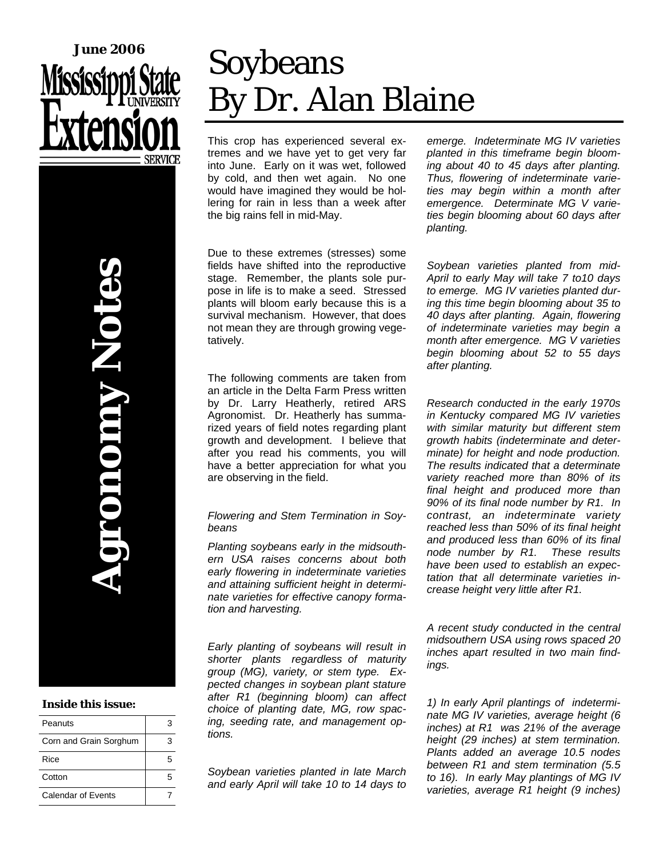

**Agronomy Notes NAUDIO** 

### **Inside this issue:**

| Peanuts                | з |
|------------------------|---|
| Corn and Grain Sorghum | ٦ |
| Rice                   | 5 |
| Cotton                 | 5 |
| Calendar of Events     |   |

# Soybeans By Dr. Alan Blaine

This crop has experienced several extremes and we have yet to get very far into June. Early on it was wet, followed by cold, and then wet again. No one would have imagined they would be hollering for rain in less than a week after the big rains fell in mid-May.

Due to these extremes (stresses) some fields have shifted into the reproductive stage. Remember, the plants sole purpose in life is to make a seed. Stressed plants will bloom early because this is a survival mechanism. However, that does not mean they are through growing vegetatively.

The following comments are taken from an article in the Delta Farm Press written by Dr. Larry Heatherly, retired ARS Agronomist. Dr. Heatherly has summarized years of field notes regarding plant growth and development. I believe that after you read his comments, you will have a better appreciation for what you are observing in the field.

### *Flowering and Stem Termination in Soybeans*

*Planting soybeans early in the midsouthern USA raises concerns about both early flowering in indeterminate varieties and attaining sufficient height in determinate varieties for effective canopy formation and harvesting.* 

*Early planting of soybeans will result in shorter plants regardless of maturity group (MG), variety, or stem type. Expected changes in soybean plant stature after R1 (beginning bloom) can affect choice of planting date, MG, row spacing, seeding rate, and management options.* 

*Soybean varieties planted in late March and early April will take 10 to 14 days to*  *emerge. Indeterminate MG IV varieties planted in this timeframe begin blooming about 40 to 45 days after planting. Thus, flowering of indeterminate varieties may begin within a month after emergence. Determinate MG V varieties begin blooming about 60 days after planting.* 

*Soybean varieties planted from mid-April to early May will take 7 to10 days to emerge. MG IV varieties planted during this time begin blooming about 35 to 40 days after planting. Again, flowering of indeterminate varieties may begin a month after emergence. MG V varieties begin blooming about 52 to 55 days after planting.* 

*Research conducted in the early 1970s in Kentucky compared MG IV varieties with similar maturity but different stem growth habits (indeterminate and determinate) for height and node production. The results indicated that a determinate variety reached more than 80% of its final height and produced more than 90% of its final node number by R1. In contrast, an indeterminate variety reached less than 50% of its final height and produced less than 60% of its final node number by R1. These results have been used to establish an expectation that all determinate varieties increase height very little after R1.* 

*A recent study conducted in the central midsouthern USA using rows spaced 20 inches apart resulted in two main findings.* 

*1) In early April plantings of indeterminate MG IV varieties, average height (6 inches) at R1 was 21% of the average height (29 inches) at stem termination. Plants added an average 10.5 nodes between R1 and stem termination (5.5 to 16). In early May plantings of MG IV varieties, average R1 height (9 inches)*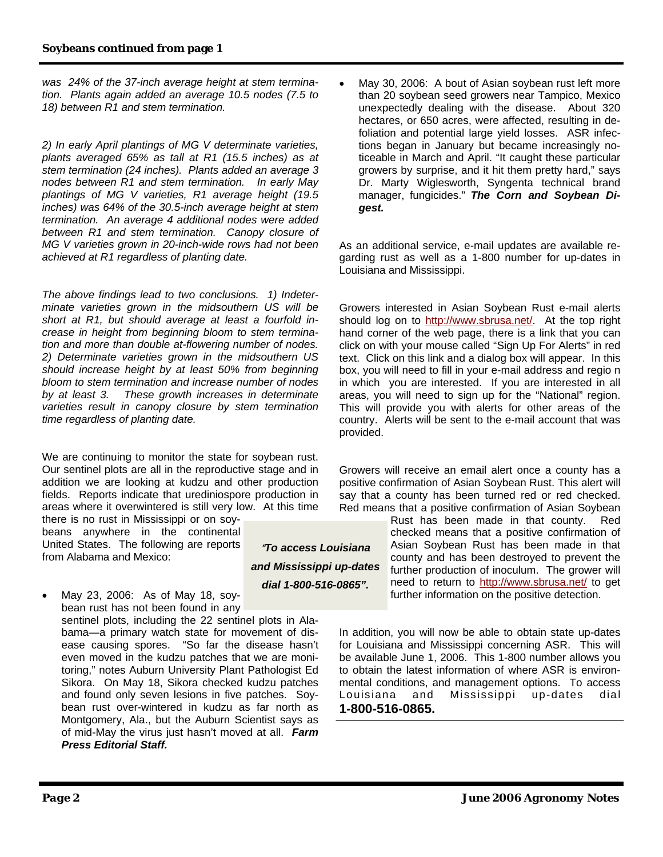*was 24% of the 37-inch average height at stem termination. Plants again added an average 10.5 nodes (7.5 to 18) between R1 and stem termination.* 

*2) In early April plantings of MG V determinate varieties, plants averaged 65% as tall at R1 (15.5 inches) as at stem termination (24 inches). Plants added an average 3 nodes between R1 and stem termination. In early May plantings of MG V varieties, R1 average height (19.5 inches) was 64% of the 30.5-inch average height at stem termination. An average 4 additional nodes were added between R1 and stem termination. Canopy closure of MG V varieties grown in 20-inch-wide rows had not been achieved at R1 regardless of planting date.* 

*The above findings lead to two conclusions. 1) Indeterminate varieties grown in the midsouthern US will be short at R1, but should average at least a fourfold increase in height from beginning bloom to stem termination and more than double at-flowering number of nodes. 2) Determinate varieties grown in the midsouthern US should increase height by at least 50% from beginning bloom to stem termination and increase number of nodes by at least 3. These growth increases in determinate varieties result in canopy closure by stem termination time regardless of planting date.* 

We are continuing to monitor the state for soybean rust. Our sentinel plots are all in the reproductive stage and in addition we are looking at kudzu and other production fields. Reports indicate that urediniospore production in areas where it overwintered is still very low. At this time

there is no rust in Mississippi or on soybeans anywhere in the continental United States. The following are reports from Alabama and Mexico:

• May 23, 2006: As of May 18, soybean rust has not been found in any sentinel plots, including the 22 sentinel plots in Ala-

bama—a primary watch state for movement of disease causing spores. "So far the disease hasn't even moved in the kudzu patches that we are monitoring," notes Auburn University Plant Pathologist Ed Sikora. On May 18, Sikora checked kudzu patches and found only seven lesions in five patches. Soybean rust over-wintered in kudzu as far north as Montgomery, Ala., but the Auburn Scientist says as of mid-May the virus just hasn't moved at all. *Farm Press Editorial Staff.*

"*To access Louisiana and Mississippi up-dates dial 1-800-516-0865".*

May 30, 2006: A bout of Asian soybean rust left more than 20 soybean seed growers near Tampico, Mexico unexpectedly dealing with the disease. About 320 hectares, or 650 acres, were affected, resulting in defoliation and potential large yield losses. ASR infections began in January but became increasingly noticeable in March and April. "It caught these particular growers by surprise, and it hit them pretty hard," says Dr. Marty Wiglesworth, Syngenta technical brand manager, fungicides." *The Corn and Soybean Digest.*

As an additional service, e-mail updates are available regarding rust as well as a 1-800 number for up-dates in Louisiana and Mississippi.

Growers interested in Asian Soybean Rust e-mail alerts should log on to http://www.sbrusa.net/. At the top right hand corner of the web page, there is a link that you can click on with your mouse called "Sign Up For Alerts" in red text. Click on this link and a dialog box will appear. In this box, you will need to fill in your e-mail address and regio n in which you are interested. If you are interested in all areas, you will need to sign up for the "National" region. This will provide you with alerts for other areas of the country. Alerts will be sent to the e-mail account that was provided.

Growers will receive an email alert once a county has a positive confirmation of Asian Soybean Rust. This alert will say that a county has been turned red or red checked. Red means that a positive confirmation of Asian Soybean

> Rust has been made in that county. Red checked means that a positive confirmation of Asian Soybean Rust has been made in that county and has been destroyed to prevent the further production of inoculum. The grower will need to return to http://www.sbrusa.net/ to get further information on the positive detection.

In addition, you will now be able to obtain state up-dates for Louisiana and Mississippi concerning ASR. This will be available June 1, 2006. This 1-800 number allows you to obtain the latest information of where ASR is environmental conditions, and management options. To access Louisiana and Mississippi up-dates dial **1-800-516-0865.**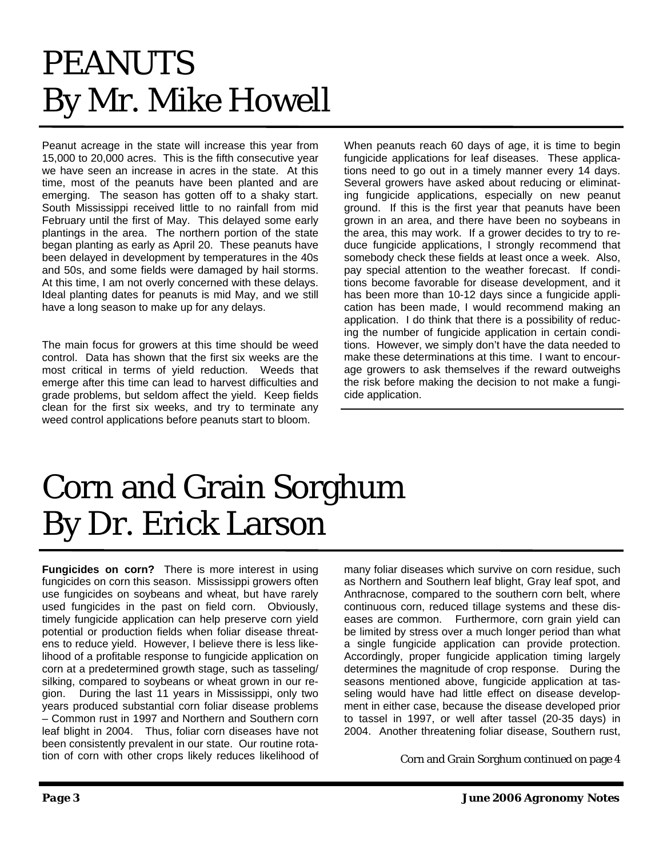# PEANUTS By Mr. Mike Howell

Peanut acreage in the state will increase this year from 15,000 to 20,000 acres. This is the fifth consecutive year we have seen an increase in acres in the state. At this time, most of the peanuts have been planted and are emerging. The season has gotten off to a shaky start. South Mississippi received little to no rainfall from mid February until the first of May. This delayed some early plantings in the area. The northern portion of the state began planting as early as April 20. These peanuts have been delayed in development by temperatures in the 40s and 50s, and some fields were damaged by hail storms. At this time, I am not overly concerned with these delays. Ideal planting dates for peanuts is mid May, and we still have a long season to make up for any delays.

The main focus for growers at this time should be weed control. Data has shown that the first six weeks are the most critical in terms of yield reduction. Weeds that emerge after this time can lead to harvest difficulties and grade problems, but seldom affect the yield. Keep fields clean for the first six weeks, and try to terminate any weed control applications before peanuts start to bloom.

When peanuts reach 60 days of age, it is time to begin fungicide applications for leaf diseases. These applications need to go out in a timely manner every 14 days. Several growers have asked about reducing or eliminating fungicide applications, especially on new peanut ground. If this is the first year that peanuts have been grown in an area, and there have been no soybeans in the area, this may work. If a grower decides to try to reduce fungicide applications, I strongly recommend that somebody check these fields at least once a week. Also, pay special attention to the weather forecast. If conditions become favorable for disease development, and it has been more than 10-12 days since a fungicide application has been made, I would recommend making an application. I do think that there is a possibility of reducing the number of fungicide application in certain conditions. However, we simply don't have the data needed to make these determinations at this time. I want to encourage growers to ask themselves if the reward outweighs the risk before making the decision to not make a fungicide application.

### Corn and Grain Sorghum By Dr. Erick Larson

**Fungicides on corn?** There is more interest in using fungicides on corn this season. Mississippi growers often use fungicides on soybeans and wheat, but have rarely used fungicides in the past on field corn. Obviously, timely fungicide application can help preserve corn yield potential or production fields when foliar disease threatens to reduce yield. However, I believe there is less likelihood of a profitable response to fungicide application on corn at a predetermined growth stage, such as tasseling/ silking, compared to soybeans or wheat grown in our region. During the last 11 years in Mississippi, only two years produced substantial corn foliar disease problems – Common rust in 1997 and Northern and Southern corn leaf blight in 2004. Thus, foliar corn diseases have not been consistently prevalent in our state. Our routine rotation of corn with other crops likely reduces likelihood of

many foliar diseases which survive on corn residue, such as Northern and Southern leaf blight, Gray leaf spot, and Anthracnose, compared to the southern corn belt, where continuous corn, reduced tillage systems and these diseases are common. Furthermore, corn grain yield can be limited by stress over a much longer period than what a single fungicide application can provide protection. Accordingly, proper fungicide application timing largely determines the magnitude of crop response. During the seasons mentioned above, fungicide application at tasseling would have had little effect on disease development in either case, because the disease developed prior to tassel in 1997, or well after tassel (20-35 days) in 2004. Another threatening foliar disease, Southern rust,

Corn and Grain Sorghum continued on page 4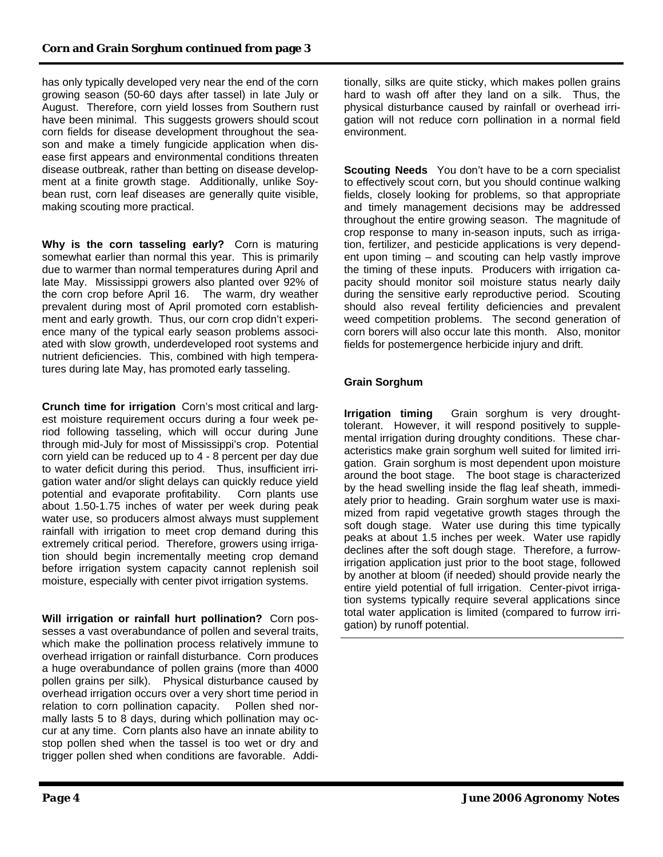has only typically developed very near the end of the corn growing season (50-60 days after tassel) in late July or August. Therefore, corn yield losses from Southern rust have been minimal. This suggests growers should scout corn fields for disease development throughout the season and make a timely fungicide application when disease first appears and environmental conditions threaten disease outbreak, rather than betting on disease development at a finite growth stage. Additionally, unlike Soybean rust, corn leaf diseases are generally quite visible, making scouting more practical.

**Why is the corn tasseling early?** Corn is maturing somewhat earlier than normal this year. This is primarily due to warmer than normal temperatures during April and late May. Mississippi growers also planted over 92% of the corn crop before April 16. The warm, dry weather prevalent during most of April promoted corn establishment and early growth. Thus, our corn crop didn't experience many of the typical early season problems associated with slow growth, underdeveloped root systems and nutrient deficiencies. This, combined with high temperatures during late May, has promoted early tasseling.

**Crunch time for irrigation** Corn's most critical and largest moisture requirement occurs during a four week period following tasseling, which will occur during June through mid-July for most of Mississippi's crop. Potential corn yield can be reduced up to 4 - 8 percent per day due to water deficit during this period. Thus, insufficient irrigation water and/or slight delays can quickly reduce yield potential and evaporate profitability. Corn plants use about 1.50-1.75 inches of water per week during peak water use, so producers almost always must supplement rainfall with irrigation to meet crop demand during this extremely critical period. Therefore, growers using irrigation should begin incrementally meeting crop demand before irrigation system capacity cannot replenish soil moisture, especially with center pivot irrigation systems.

**Will irrigation or rainfall hurt pollination?** Corn possesses a vast overabundance of pollen and several traits, which make the pollination process relatively immune to overhead irrigation or rainfall disturbance. Corn produces a huge overabundance of pollen grains (more than 4000 pollen grains per silk). Physical disturbance caused by overhead irrigation occurs over a very short time period in relation to corn pollination capacity. Pollen shed normally lasts 5 to 8 days, during which pollination may occur at any time. Corn plants also have an innate ability to stop pollen shed when the tassel is too wet or dry and trigger pollen shed when conditions are favorable. Additionally, silks are quite sticky, which makes pollen grains hard to wash off after they land on a silk. Thus, the physical disturbance caused by rainfall or overhead irrigation will not reduce corn pollination in a normal field environment.

**Scouting Needs** You don't have to be a corn specialist to effectively scout corn, but you should continue walking fields, closely looking for problems, so that appropriate and timely management decisions may be addressed throughout the entire growing season. The magnitude of crop response to many in-season inputs, such as irrigation, fertilizer, and pesticide applications is very dependent upon timing – and scouting can help vastly improve the timing of these inputs. Producers with irrigation capacity should monitor soil moisture status nearly daily during the sensitive early reproductive period. Scouting should also reveal fertility deficiencies and prevalent weed competition problems. The second generation of corn borers will also occur late this month. Also, monitor fields for postemergence herbicide injury and drift.

### **Grain Sorghum**

**Irrigation timing** Grain sorghum is very droughttolerant. However, it will respond positively to supplemental irrigation during droughty conditions. These characteristics make grain sorghum well suited for limited irrigation. Grain sorghum is most dependent upon moisture around the boot stage. The boot stage is characterized by the head swelling inside the flag leaf sheath, immediately prior to heading. Grain sorghum water use is maximized from rapid vegetative growth stages through the soft dough stage. Water use during this time typically peaks at about 1.5 inches per week. Water use rapidly declines after the soft dough stage. Therefore, a furrowirrigation application just prior to the boot stage, followed by another at bloom (if needed) should provide nearly the entire yield potential of full irrigation. Center-pivot irrigation systems typically require several applications since total water application is limited (compared to furrow irrigation) by runoff potential.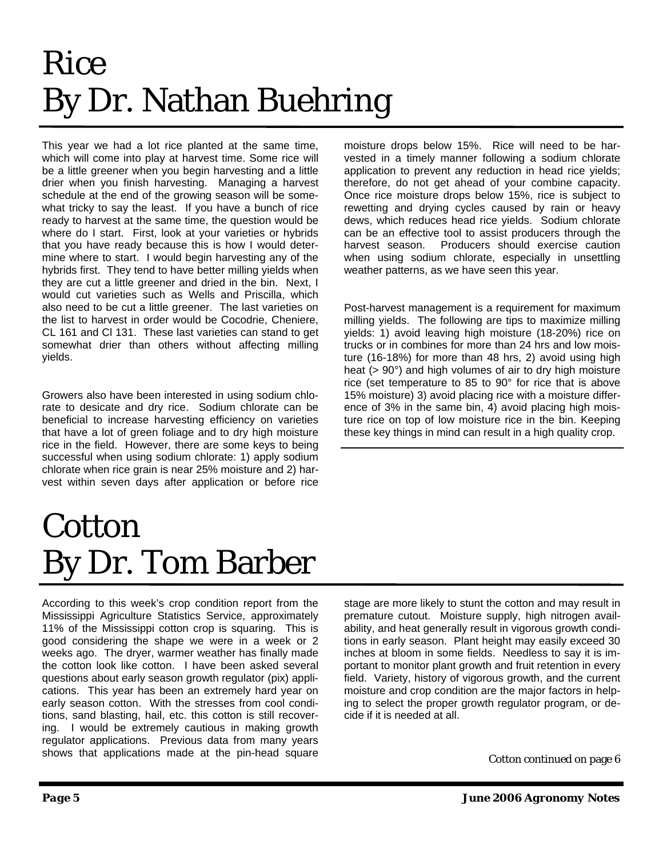# Rice By Dr. Nathan Buehring

This year we had a lot rice planted at the same time, which will come into play at harvest time. Some rice will be a little greener when you begin harvesting and a little drier when you finish harvesting. Managing a harvest schedule at the end of the growing season will be somewhat tricky to say the least. If you have a bunch of rice ready to harvest at the same time, the question would be where do I start. First, look at your varieties or hybrids that you have ready because this is how I would determine where to start. I would begin harvesting any of the hybrids first. They tend to have better milling yields when they are cut a little greener and dried in the bin. Next, I would cut varieties such as Wells and Priscilla, which also need to be cut a little greener. The last varieties on the list to harvest in order would be Cocodrie, Cheniere, CL 161 and Cl 131. These last varieties can stand to get somewhat drier than others without affecting milling yields.

Growers also have been interested in using sodium chlorate to desicate and dry rice. Sodium chlorate can be beneficial to increase harvesting efficiency on varieties that have a lot of green foliage and to dry high moisture rice in the field. However, there are some keys to being successful when using sodium chlorate: 1) apply sodium chlorate when rice grain is near 25% moisture and 2) harvest within seven days after application or before rice

## **Cotton** By Dr. Tom Barber

According to this week's crop condition report from the Mississippi Agriculture Statistics Service, approximately 11% of the Mississippi cotton crop is squaring. This is good considering the shape we were in a week or 2 weeks ago. The dryer, warmer weather has finally made the cotton look like cotton. I have been asked several questions about early season growth regulator (pix) applications. This year has been an extremely hard year on early season cotton. With the stresses from cool conditions, sand blasting, hail, etc. this cotton is still recovering. I would be extremely cautious in making growth regulator applications. Previous data from many years shows that applications made at the pin-head square

moisture drops below 15%. Rice will need to be harvested in a timely manner following a sodium chlorate application to prevent any reduction in head rice yields; therefore, do not get ahead of your combine capacity. Once rice moisture drops below 15%, rice is subject to rewetting and drying cycles caused by rain or heavy dews, which reduces head rice yields. Sodium chlorate can be an effective tool to assist producers through the harvest season. Producers should exercise caution when using sodium chlorate, especially in unsettling weather patterns, as we have seen this year.

Post-harvest management is a requirement for maximum milling yields. The following are tips to maximize milling yields: 1) avoid leaving high moisture (18-20%) rice on trucks or in combines for more than 24 hrs and low moisture (16-18%) for more than 48 hrs, 2) avoid using high heat (> 90°) and high volumes of air to dry high moisture rice (set temperature to 85 to 90° for rice that is above 15% moisture) 3) avoid placing rice with a moisture difference of 3% in the same bin, 4) avoid placing high moisture rice on top of low moisture rice in the bin. Keeping these key things in mind can result in a high quality crop.

stage are more likely to stunt the cotton and may result in premature cutout. Moisture supply, high nitrogen availability, and heat generally result in vigorous growth conditions in early season. Plant height may easily exceed 30 inches at bloom in some fields. Needless to say it is important to monitor plant growth and fruit retention in every field. Variety, history of vigorous growth, and the current moisture and crop condition are the major factors in helping to select the proper growth regulator program, or decide if it is needed at all.

Cotton continued on page 6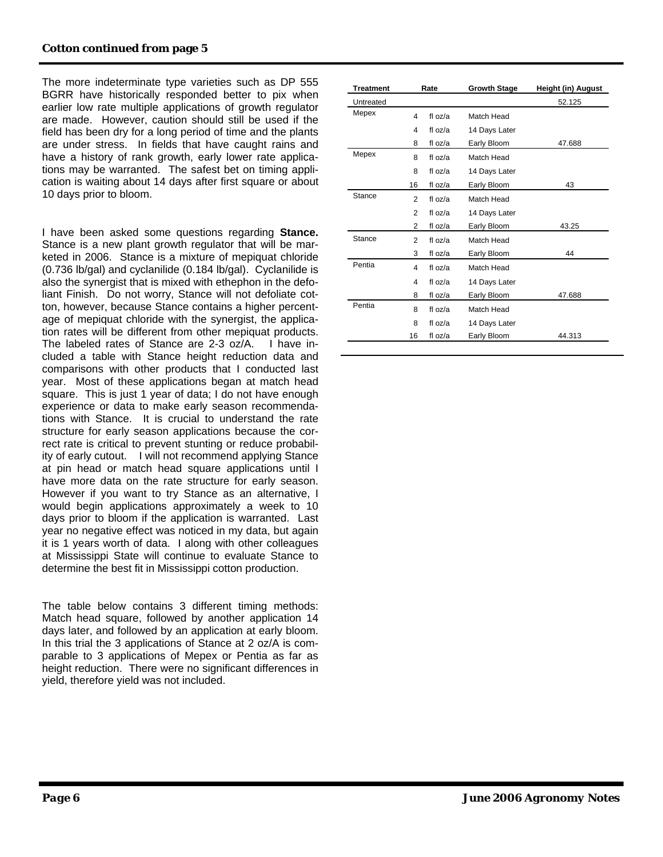The more indeterminate type varieties such as DP 555 BGRR have historically responded better to pix when earlier low rate multiple applications of growth regulator are made. However, caution should still be used if the field has been dry for a long period of time and the plants are under stress. In fields that have caught rains and have a history of rank growth, early lower rate applications may be warranted. The safest bet on timing application is waiting about 14 days after first square or about 10 days prior to bloom.

I have been asked some questions regarding **Stance.** Stance is a new plant growth regulator that will be marketed in 2006. Stance is a mixture of mepiquat chloride (0.736 lb/gal) and cyclanilide (0.184 lb/gal). Cyclanilide is also the synergist that is mixed with ethephon in the defoliant Finish. Do not worry, Stance will not defoliate cotton, however, because Stance contains a higher percentage of mepiquat chloride with the synergist, the application rates will be different from other mepiquat products. The labeled rates of Stance are 2-3 oz/A. I have included a table with Stance height reduction data and comparisons with other products that I conducted last year. Most of these applications began at match head square. This is just 1 year of data; I do not have enough experience or data to make early season recommendations with Stance. It is crucial to understand the rate structure for early season applications because the correct rate is critical to prevent stunting or reduce probability of early cutout. I will not recommend applying Stance at pin head or match head square applications until I have more data on the rate structure for early season. However if you want to try Stance as an alternative, I would begin applications approximately a week to 10 days prior to bloom if the application is warranted. Last year no negative effect was noticed in my data, but again it is 1 years worth of data. I along with other colleagues at Mississippi State will continue to evaluate Stance to determine the best fit in Mississippi cotton production.

The table below contains 3 different timing methods: Match head square, followed by another application 14 days later, and followed by an application at early bloom. In this trial the 3 applications of Stance at 2 oz/A is comparable to 3 applications of Mepex or Pentia as far as height reduction. There were no significant differences in yield, therefore yield was not included.

| <b>Treatment</b> |                | Rate            | <b>Growth Stage</b> | Height (in) August |
|------------------|----------------|-----------------|---------------------|--------------------|
| Untreated        |                |                 |                     | 52.125             |
| Mepex            | 4              | fl $oz/a$       | Match Head          |                    |
|                  | 4              | fl $oz/a$       | 14 Days Later       |                    |
|                  | 8              | fl oz/a         | Early Bloom         | 47.688             |
| Mepex            | 8              | fl $oz/a$       | Match Head          |                    |
|                  | 8              | fl $oz/a$       | 14 Days Later       |                    |
|                  | 16             | fl oz/a         | Early Bloom         | 43                 |
| Stance           | 2              | fl $oz/a$       | Match Head          |                    |
|                  | $\overline{2}$ | fl $oz/a$       | 14 Days Later       |                    |
|                  | 2              | fl oz/a         | Early Bloom         | 43.25              |
| Stance           | $\overline{2}$ | fl $oz/a$       | Match Head          |                    |
|                  | 3              | fl oz/a         | Early Bloom         | 44                 |
| Pentia           | 4              | fl $\alpha$ z/a | Match Head          |                    |
|                  | 4              | fl $oz/a$       | 14 Days Later       |                    |
|                  | 8              | fl oz/a         | Early Bloom         | 47.688             |
| Pentia           | 8              | fl $oz/a$       | Match Head          |                    |
|                  | 8              | fl oz/a         | 14 Days Later       |                    |
|                  | 16             | fl oz/a         | Early Bloom         | 44.313             |